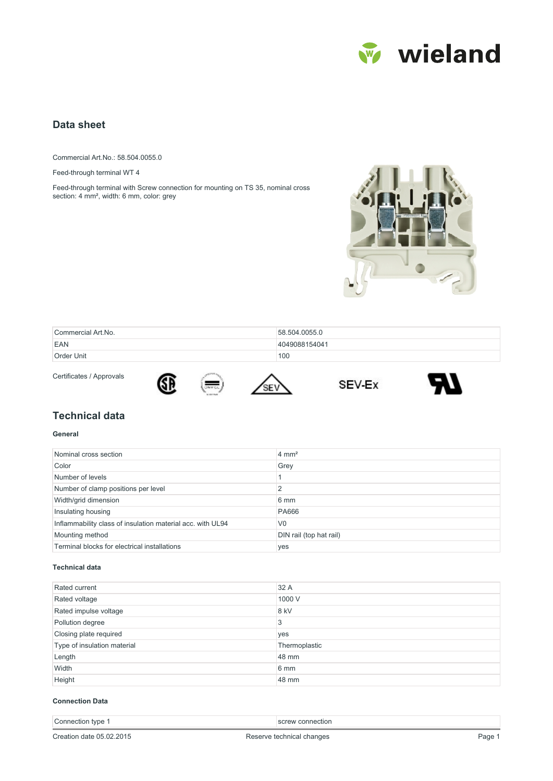

# **Data sheet**

Commercial Art.No.: 58.504.0055.0

Feed-through terminal WT 4

Feed-through terminal with Screw connection for mounting on TS 35, nominal cross section: 4 mm², width: 6 mm, color: grey

Œ



| Commercial Art.No. | 58.504.0055.0 |
|--------------------|---------------|
| EAN                | 4049088154041 |
| Order Unit         | 100           |

Certificates / Approvals







# **Technical data**

### **General**

| Nominal cross section                                      | $4 \text{ mm}^2$        |
|------------------------------------------------------------|-------------------------|
| Color                                                      | Grey                    |
| Number of levels                                           |                         |
| Number of clamp positions per level                        |                         |
| Width/grid dimension                                       | 6 mm                    |
| Insulating housing                                         | <b>PA666</b>            |
| Inflammability class of insulation material acc. with UL94 | V <sub>0</sub>          |
| Mounting method                                            | DIN rail (top hat rail) |
| Terminal blocks for electrical installations               | yes                     |

#### **Technical data**

| Rated current               | 32 A          |
|-----------------------------|---------------|
| Rated voltage               | 1000 V        |
| Rated impulse voltage       | 8 kV          |
| Pollution degree            | 3             |
| Closing plate required      | yes           |
| Type of insulation material | Thermoplastic |
| Length                      | 48 mm         |
| Width                       | 6 mm          |
| Height                      | 48 mm         |

#### **Connection Data**

| type<br>nn.<br>:110 | connection<br>. |
|---------------------|-----------------|
|                     |                 |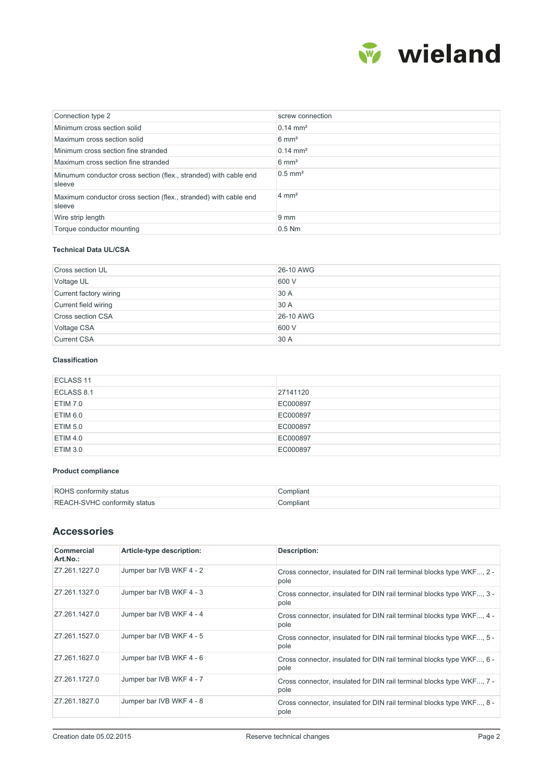

| Connection type 2                                                          | screw connection      |
|----------------------------------------------------------------------------|-----------------------|
| Minimum cross section solid                                                | $0.14 \text{ mm}^2$   |
| Maximum cross section solid                                                | $6 \text{ mm}^2$      |
| Minimum cross section fine stranded                                        | $0.14 \text{ mm}^2$   |
| Maximum cross section fine stranded                                        | $6 \text{ mm}^2$      |
| Minumum conductor cross section (flex., stranded) with cable end<br>sleeve | $0.5$ mm <sup>2</sup> |
| Maximum conductor cross section (flex., stranded) with cable end<br>sleeve | $4 \text{ mm}^2$      |
| Wire strip length                                                          | $9 \text{ mm}$        |
| Torque conductor mounting                                                  | $0.5$ Nm              |

## **Technical Data UL/CSA**

| <b>Cross section UL</b>  | 26-10 AWG |
|--------------------------|-----------|
| Voltage UL               | 600 V     |
| Current factory wiring   | 30 A      |
| Current field wiring     | 30 A      |
| <b>Cross section CSA</b> | 26-10 AWG |
| Voltage CSA              | 600 V     |
| <b>Current CSA</b>       | 30 A      |

## **Classification**

| ECLASS 11  |          |
|------------|----------|
| ECLASS 8.1 | 27141120 |
| ETIM 7.0   | EC000897 |
| ETIM 6.0   | EC000897 |
| ETIM 5.0   | EC000897 |
| ETIM 4.0   | EC000897 |
| ETIM 3.0   | EC000897 |

### **Product compliance**

| ROHS conformity status              | `ompliant |
|-------------------------------------|-----------|
| <b>REACH-SVHC conformity status</b> | `ompliant |

# **Accessories**

| Commercial<br>Art.No.: | Article-type description: | Description:                                                                  |
|------------------------|---------------------------|-------------------------------------------------------------------------------|
| Z7.261.1227.0          | Jumper bar IVB WKF 4 - 2  | Cross connector, insulated for DIN rail terminal blocks type WKF, 2 -<br>pole |
| Z7.261.1327.0          | Jumper bar IVB WKF 4 - 3  | Cross connector, insulated for DIN rail terminal blocks type WKF, 3 -<br>pole |
| Z7.261.1427.0          | Jumper bar IVB WKF 4 - 4  | Cross connector, insulated for DIN rail terminal blocks type WKF, 4 -<br>pole |
| Z7.261.1527.0          | Jumper bar IVB WKF 4 - 5  | Cross connector, insulated for DIN rail terminal blocks type WKF, 5 -<br>pole |
| Z7.261.1627.0          | Jumper bar IVB WKF 4 - 6  | Cross connector, insulated for DIN rail terminal blocks type WKF, 6 -<br>pole |
| Z7.261.1727.0          | Jumper bar IVB WKF 4 - 7  | Cross connector, insulated for DIN rail terminal blocks type WKF, 7 -<br>pole |
| Z7.261.1827.0          | Jumper bar IVB WKF 4 - 8  | Cross connector, insulated for DIN rail terminal blocks type WKF, 8 -<br>pole |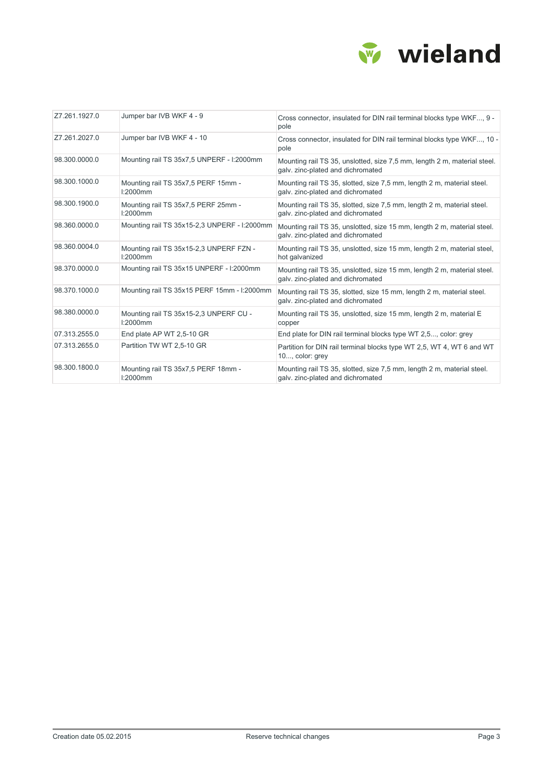

| Z7.261.1927.0 | Jumper bar IVB WKF 4 - 9                               | Cross connector, insulated for DIN rail terminal blocks type WKF, 9 -<br>pole                                 |
|---------------|--------------------------------------------------------|---------------------------------------------------------------------------------------------------------------|
| Z7.261.2027.0 | Jumper bar IVB WKF 4 - 10                              | Cross connector, insulated for DIN rail terminal blocks type WKF, 10 -<br>pole                                |
| 98.300.0000.0 | Mounting rail TS 35x7,5 UNPERF - I:2000mm              | Mounting rail TS 35, unslotted, size 7,5 mm, length 2 m, material steel.<br>galv. zinc-plated and dichromated |
| 98.300.1000.0 | Mounting rail TS 35x7,5 PERF 15mm -<br>l:2000mm        | Mounting rail TS 35, slotted, size 7,5 mm, length 2 m, material steel.<br>galv. zinc-plated and dichromated   |
| 98.300.1900.0 | Mounting rail TS 35x7,5 PERF 25mm -<br>l:2000mm        | Mounting rail TS 35, slotted, size 7,5 mm, length 2 m, material steel.<br>galv. zinc-plated and dichromated   |
| 98.360.0000.0 | Mounting rail TS 35x15-2,3 UNPERF - I:2000mm           | Mounting rail TS 35, unslotted, size 15 mm, length 2 m, material steel.<br>galv. zinc-plated and dichromated  |
| 98.360.0004.0 | Mounting rail TS 35x15-2,3 UNPERF FZN -<br>$1:2000$ mm | Mounting rail TS 35, unslotted, size 15 mm, length 2 m, material steel,<br>hot galvanized                     |
| 98.370.0000.0 | Mounting rail TS 35x15 UNPERF - I:2000mm               | Mounting rail TS 35, unslotted, size 15 mm, length 2 m, material steel.<br>galv. zinc-plated and dichromated  |
| 98.370.1000.0 | Mounting rail TS 35x15 PERF 15mm - I:2000mm            | Mounting rail TS 35, slotted, size 15 mm, length 2 m, material steel.<br>galv. zinc-plated and dichromated    |
| 98.380.0000.0 | Mounting rail TS 35x15-2,3 UNPERF CU -<br>$1:2000$ mm  | Mounting rail TS 35, unslotted, size 15 mm, length 2 m, material E<br>copper                                  |
| 07.313.2555.0 | End plate AP WT 2,5-10 GR                              | End plate for DIN rail terminal blocks type WT 2,5, color: grey                                               |
| 07.313.2655.0 | Partition TW WT 2,5-10 GR                              | Partition for DIN rail terminal blocks type WT 2.5, WT 4, WT 6 and WT<br>10, color: grey                      |
| 98.300.1800.0 | Mounting rail TS 35x7,5 PERF 18mm -<br>l:2000mm        | Mounting rail TS 35, slotted, size 7,5 mm, length 2 m, material steel.<br>galv. zinc-plated and dichromated   |